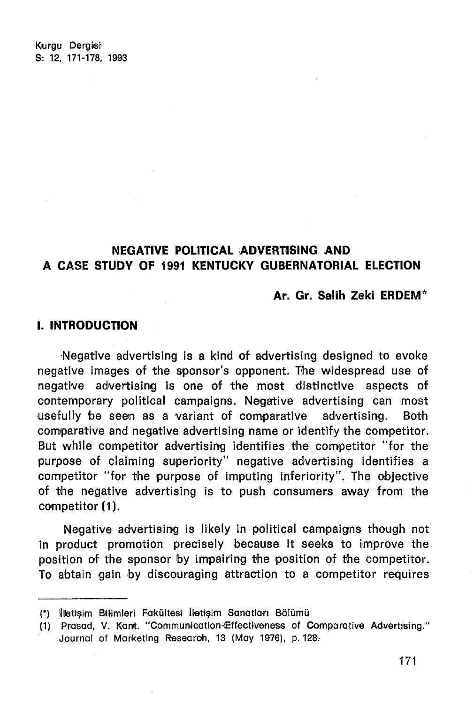Kurau Deraisi S: 12, 171-178, 1993

# NEGATIVE POLITICAL ADVERTISING AND A CA5E STUDY OF 1991 KENTUOKY GUBERNATORIAL ELECTlON

### Ar. Gr. Salih Zeki ERDEM\*

### I. INTRODUCTION

Negative advertising is a kind of advertising designed to evoke negative images of the sponsor's opponent. The widespread use of negative advertising is one of the most distinctive aspects of contemporary political campaigns. Negative advertising can most usefully be seen as a variant of comparative advertising. Both comparative and negative advertising name or identify the competitor. But while competitor advertising identifies the competitor "for the purpose of claiming superiority" negative advertising identifies a competitor "for the purpose of imputing inferiority". The objective of the negative advertising is to push consumers away from the competitor (1).

Negative advertising is likely in political campaigns though not in product promotion precisely because it seeks to improve the position of the sponsor by impairing the position of the competitor. To abtain gain by discouraging attraction to a competitor requires

<sup>(\*)</sup> İlletişim Bilimleri Fakültesi İletişim Sanatları Bölümü

<sup>(1)</sup> Prasad, V. Kant. "Communication-Effectiveness of Comparative Advertising." Journal of Marketing Research, 13 (May 1976), p. 128.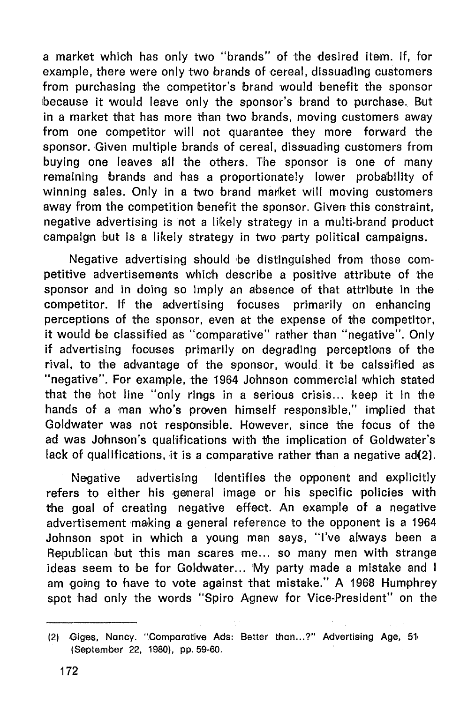a market which has only two "brands" of the desired item. If, for example, there were only two brands of cereal, dissuading customers from purchasing the competitor's brand would benefit the sponsor because it would leave only the sponsor's brand to purchase. But in a market that has more than two brands, moving customers away from one competitor will not quarantee they more forward the sponsor. Given multiple brands of cereal, dissuading customers from buying one leaves all the others. The aponsor is one of many remaining brands and has a proportionately lower probability of winning sales. Only in a two brand market will moving customers away from the competition benefit the sponsor. Given this constraint, negative advertising is not a liikely strategy in a multi-brand product campaign but is a likely strategy in two party political campaigns.

Negative advertising should be distinguished from those competitive advertisements which deseribe a positive attrlbute of the sponsor and in doing so imply an absence of that attribute in the competitor. If the advertising focuses primarily on enhancing perceptlons of the sponsor, even at the expense of the competitor, it would be classified as "comparative" rather than "negative". Only if advertising focuses primarily on degrading perceptions of the rival, to the advantage of the sponsor, would it be calssified as "negative". For example, the 1964 Johnson commercial which stated that the hot line "only rings in a serious crisis... keep it in the hands of a man who's proven himself responsible," implied that Goldwater was not responsible. However, since the focus of the ad was Johnson's qualtflcatlons with the implication of Goldwater's lack of qualifications, it is a comparative rather than a negative ad(2).

Negative advertising identifies the opponent and explicitly refers to either his general image or his specific policies with the goal of creating negative effect. An example of a negative advertisement making a general reference to the opponent is a 1964 Johnson spot in whlch a young man says, ''('ve always been a Republican but this man scares me... so many men with strange ideas seem to be for Goldwater... My party made a mistake and i am going to have to vote against that mistake." A 1968 Humphrey spot had only the words "Spiro Agnew for Vice-President" on the

<sup>(2)</sup> Giges, Nancy. "Comparative Ads: Better than...?" Advertising Age, 51 (September 22. 1980). pp. 59·60.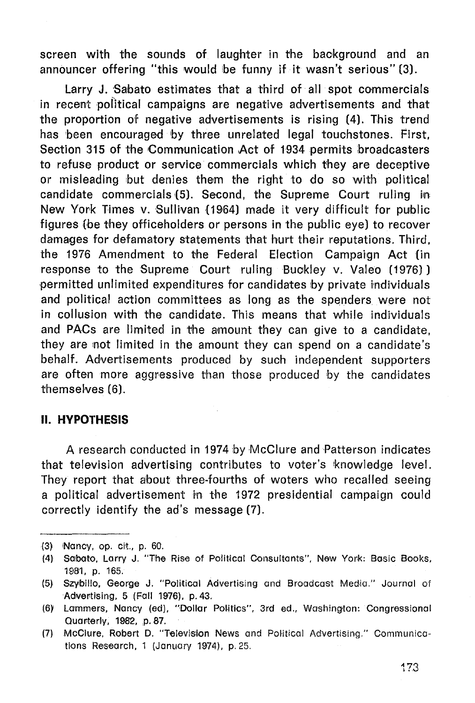screen with the sounds of lauqhter in the baokground and an announcer offering "this would be funny if it wasn't serious" (3).

Larry J. Sebato estimates that a third of all spot commercials in recent political campaigns are negative advertisements and that the proportion of negative advertisements is rislnq (4). This trend has been encouraged by three unrelated legal touchstones. First, Section 315 of the Communication Act of 1934 permits broadcasters to refuse product or service commercials which theyare deceptive or misleading but denies them the right to do so with political candidate commercials {5). Second, the Supreme Court rullnq in: New York Times v. Sullivan (1964) made it very difficult for public figures (be they officeholders or persons in the public eye) to recover damaqes for defamatory statements that hurt their reputations. Third. the 1976 Amendment to the Federal Election Campalqn Act (in response to the Supreme Court ruling Buokley v. Valeo (1976)) permitted unlimited expenditures for candidates by private individuals and political action committees as long as the spenders were not in collusion with the candidate. This means that while individuals and PACs are limited in the amount they can give to a candidate, they are not limited in the amount they can spend on a candidate's behalf. Advertisements produced by such independent supporters are often more aggressive than those produced by the candidates themselves (6).

### II. **HYPOTHESIS**

A research conducted in 1974 by McClure and Patterson indicates that television advertising contributes to voter's knowledge level. They report that about three-fourths of woters who recalled seeing a political advertisement in the 1972 presidential campaign could correctly identify the ad's message (7).

<sup>(3)</sup> iNaney, op, clt., p. 60.

<sup>(4)</sup> Salbato, Larry J. "The Rise of Political Consultants", New York: Basic Books, 1981, p. 165.

<sup>(5)</sup> Szybillo. George J. "Political Advertising and Broadcast Media." Journal of Advertising, 5 (Fall 1976), p. 43.

<sup>(6)</sup> Lammers, Nancy (ed), "Dollar Politics", 3rd ed., Washington: Congressional Quarterly, 1982, p. 87.

<sup>(7)</sup> McClure, Robert D. "Television News and Political Advertising." Communications Reseorch, 1 (Januory 1974), p.25.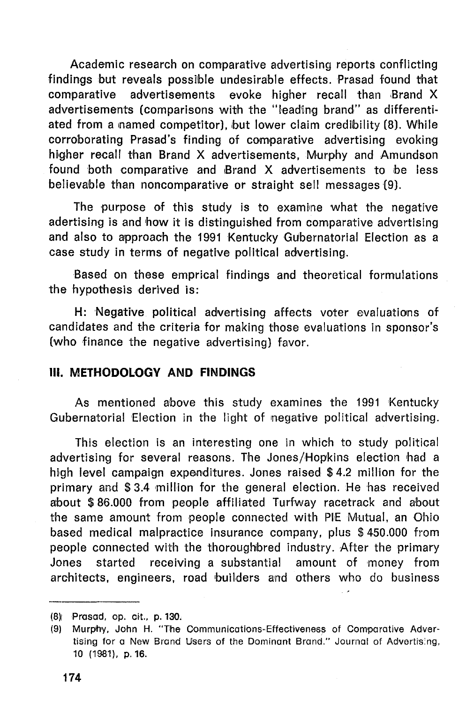Academic research on comparative advertising reports conflicting findings but reveals possible undesirable effects. Prasad found that comparative advertisements evoke higher recall than Brand X advertisements (comparisons with the "leading brand" as differentiated from a named competitor), but lower claim credibility (8). While corroborating Prasad's finding of comparative advertising evoking higher recall than Brand X advertisements, Murphy and Amundson found both comparative and Brand X advertisements to be less believable than noncomparative or straight sell messages (9).

The purpose of this study is to examine what the negative adertising is and how it is distinguished from comparative advertising and also to approach the 1991 Kentucky Gubernatorial Election as a case study in terms of negative political advertising.

Based on these emprical findings and theoretical formulations the hypothesis derived is:

H: Negative political advertising affects voter evaluations of candidates and the criteria for making those evaluations in sponsor's (who finance the negative advertising) favor.

## **III. METHODOLOGY AND FINDINGS**

As mentioned above this study examines the 1991 Kentucky Gubernatorial Election in the light of negative political advertising.

This election is an interesting one in which to study political advertising for several reasons. The Jones/Hopkins election had a high level campaign expenditures. Jones raised \$4.2 million for the primary and \$ 3.4 million for the general election. He has received about \$86.000 from people affiliated Turfway racetrack and about the same amount from people connected with PIE Mutual, an Ohio based medical malpractice insurance company, plus \$450.000 from people connected with the thoroughbred industry. After the primary Jones started receiving a substantial amount of money from architects, engineers, road builders and others who do business

<sup>(8)</sup> Prasad, op. cit., p. 130.

<sup>(9)</sup> Murphy, John H. "The Communications-Effectiveness of Comparative Advertising for a New Brand Users of the Dominant Brand." Journal of Advertising, 10 (1981). p.16.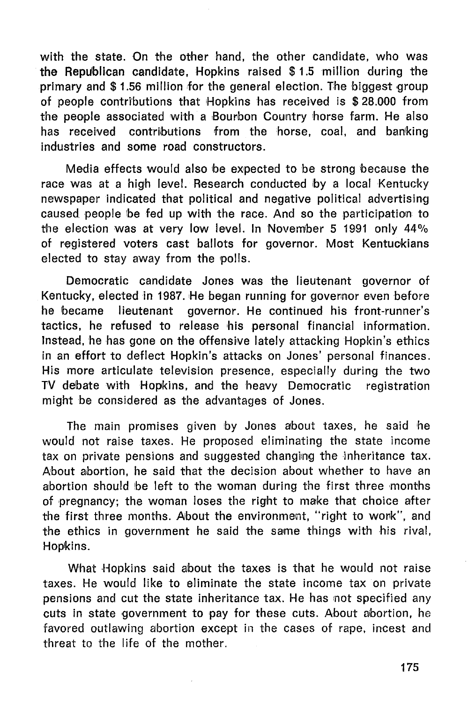with the state. On the other hand, the other candidate, who was the Repuiblican candidate, Hopkins raised \$ 1.5 million during the primary and \$1.56 million for the general election. The biggest group of people contri'butions that Hopklns has recelved is \$ 28.000 from the people associated with a Bourbon Country horse farm. He also has received contributions from the horse, coal, and banking industries and some road constructors.

Medla effects would also be expected to be strong because the race was at a high level. Research conducted by a local Kentucky newspaper indicated that political and negative political advertising caused people be fed up with the race. And so the participation to the election was at very low level. In November 5 1991 only 44% of registered voters cast ballots for governor. Most Kentuckians elected to stay away from the polis.

Democratic candidate Jones was the lieutenant governor of Kentucky, elected in 1987. He began running for governor even before he becarne lleutenant governor. He continued his front-runner's tactlcs, he refused to release his personal financial information. Instead, he has gone on the offensive lately attacking Hopkin's ethics in an effort to deflect Hopkin's attacks on Jones' personal finances. His more articulate television presence, especially during the two TV debate with Hopkins, and the heavy Democratic registration might be considered as the advantages of Jones.

The main promises given by Jones about taxes, he said he would not raise taxes. He proposed eliminating the state income tax on private pensions and suggested changing the inheritance tax. About abortion, he said that the decision about whether to have an abortion should be left to the woman during the first three months of pregnancy; the woman loses the right to make that choice after the first three months. About the environment, "right to work", and the ethics in government he said the same things with his rival, Hopkins.

What Hopkins said about the taxes is that he would not raise taxes. He would like to ellmlnate the state ineome tax on private pensions and cut the state inheritance tax. He has not specified any cuts in state government to pay for these cuts. About abortion, he favored outlawing abortion except in the cases of rape, incest and threat to the life of the morher.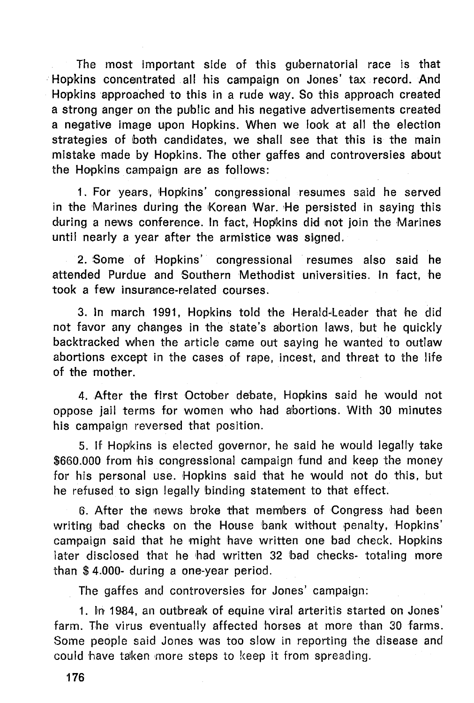The most important side of this gubernatorial race is that Hopkins concentrated all his campaign on Jones' tax record. And Hopkins approached to this in a rude way. So this approach created a strong anger on the public and his negative advertisements created a negative image upon Hopkins. When we look at all the election strategies of both candidates, we shall see that this is the main mistake made by Hopkins. The other gaffes and controversies about the Hopkins campaign are as follows:

1. For years, Hopkins' congressional resumes said he served in the Marines during the Korean War. He persisted in saying this during a news conference. In fact, Hopkins did not join the Marines until nearly a year after the armistice was signed.

2. Some of Hopklns' congressional resumes also said he attended Purdue and Southern Methodist universities. In fact, he took a few insurance-related courses.

3. In march 1991, Hopkins told the Herald-Leader that he did not favor any changes in the state's abortion laws, but he quickly backtracked when the article came out saying he wanted to outlaw abortions except in the cases of rape, lncest, and threat to the life of the mother.

4. After the first October debate, Hopkins said he would not oppose jail terms for women who had abortions. With 30 minutes his campaign reversed that position.

5. If Hopklns is elected governor, he said he would legally take \$660.000 from his congressional campaign fund and keep the money for his personal use. Hopkins said that he would not do this, but he refused to sign legally binding statement to that effect.

6. After the news broke that members of Congress had been writing bad checks on the House bank without penalty, Hopkins' campaign said that he might have written one bad check. Hopklns later disclosed that he had written 32 bad checks- totaling more than \$ 4.000- during a one-year period.

The gaffes and controversies for Jones' campaign:

1. In 1984, an outbreak of equine viral arteritis started on Jones' farm. The virus eventually affected horses at more than 30 farms. Some people said Jones was too slow in reporting the disease and could 'have taken more steps to keep it from spreading.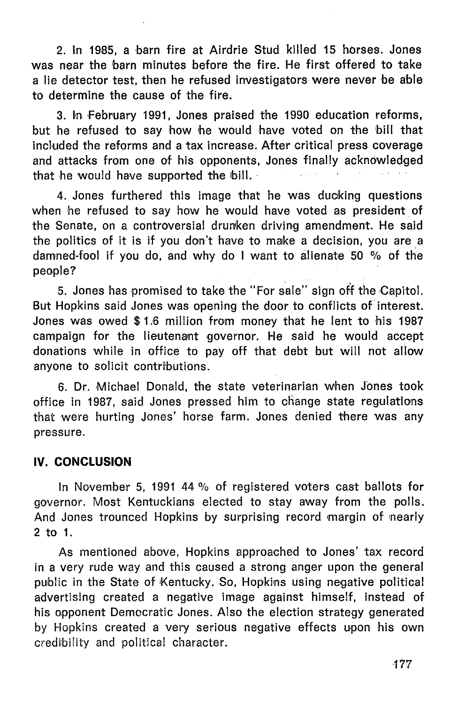2. In 1985, a barn fire at Airdrie Stud killed 15 horses, Jones was near the barn minutes before the fire. He first offered to take a lie detector test, then he refused investigators were never be able to determine the eause of the fire.

3. In February 1991, Jones praised the 1990 education reforms, but he refused to say how he would have voted on the bill that included the reforms and a tax increase. After critical press coverage and attaeks from one of his opponents, Jones finally aeknowledged that he would have supported the bill.

4. Jones furthered this image that he was ducking questions when he refused to say how he would have voted as president of the Senate, on a controversial drunken driving amendment. He said the politics of it is if you dorı't have to make a deeision, you are a damned-fool if you do, and why do I want to alienate 50 % of the people?

5. Jones has promised to take the "For sale" sign off the Capitol. But Hopkins said Jones was opening the door to conflicts of interest. Jones was owed \$1.6 million from money that he lent to his 1987 campaign for the lieutenant governor. He said he would accept donations while in office to pay off that debt but will not allow anyone to solicit contributions.

6. Dr. Michael Donald. the state veterinarian when Jones took office in 1987, said Jones pressed him to change state regulatlons that were hurting Jones' horse farm. Jones denied there was any pressure.

# **LV. CONCLUSION**

In November 5, 1991 44 % of registered veters east ballots for governor. Most Kentuekians eleeted to stay away from the polis. And Jones trounced Hopkins by surprising record margin of nearly 2 to 1.

As mentioned above, Hopkins approached to Jones' tax record in a very rude way and this eaused a strong anger upon the general public in the State of Kentucky. So, Hopkins using negative political advertising ereated a negative image against himself, instead of his opponent Democratic Jones. Also the election strategy generated by Hopklns ereated a very serlous negative effeets upon his own eredibility and palitieal eharaeter.